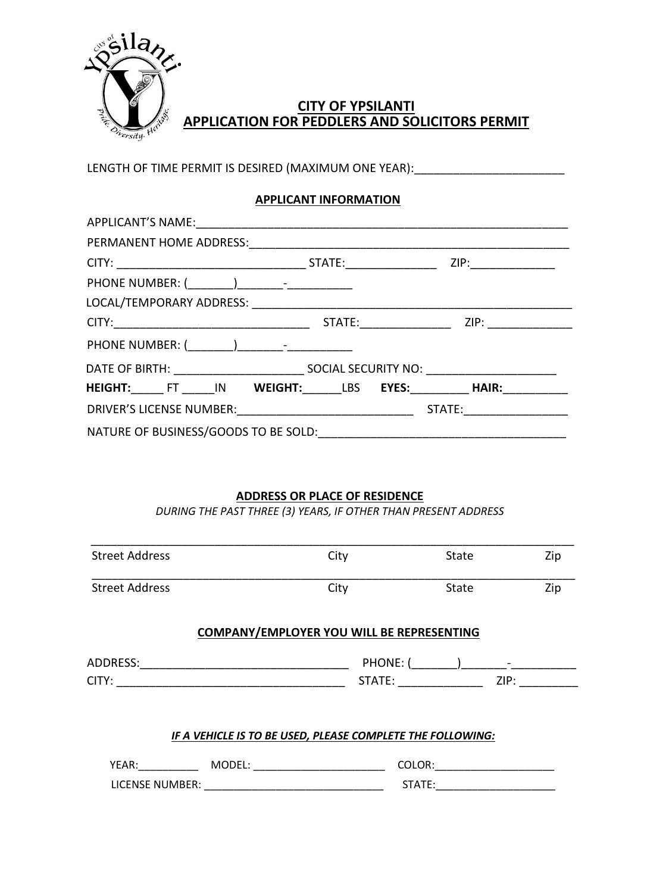

# **CITY OF YPSILANTI APPLICATION FOR PEDDLERS AND SOLICITORS PERMIT**

LENGTH OF TIME PERMIT IS DESIRED (MAXIMUM ONE YEAR): \_\_\_\_\_\_\_\_\_\_\_\_\_\_\_\_\_\_\_\_\_\_\_\_\_\_\_

## **APPLICANT INFORMATION**

|                                      |  |  | STATE: ZIP:                           |
|--------------------------------------|--|--|---------------------------------------|
|                                      |  |  |                                       |
|                                      |  |  |                                       |
|                                      |  |  | STATE: ZIP:                           |
|                                      |  |  |                                       |
|                                      |  |  |                                       |
|                                      |  |  | HEIGHT: FT IN WEIGHT: LBS EYES: HAIR: |
|                                      |  |  | STATE: ____________                   |
| NATURE OF BUSINESS/GOODS TO BE SOLD: |  |  |                                       |

### **ADDRESS OR PLACE OF RESIDENCE**

*DURING THE PAST THREE (3) YEARS, IF OTHER THAN PRESENT ADDRESS*

| <b>Street Address</b> | City                                                       | Zip<br><b>State</b>                                                                                                                                                                                                                                       |
|-----------------------|------------------------------------------------------------|-----------------------------------------------------------------------------------------------------------------------------------------------------------------------------------------------------------------------------------------------------------|
| <b>Street Address</b> | City                                                       | Zip<br><b>State</b>                                                                                                                                                                                                                                       |
|                       | <b>COMPANY/EMPLOYER YOU WILL BE REPRESENTING</b>           |                                                                                                                                                                                                                                                           |
|                       |                                                            |                                                                                                                                                                                                                                                           |
|                       |                                                            | STATE: ________________<br>ZIP: Album and the state of the state of the state of the state of the state of the state of the state of the state of the state of the state of the state of the state of the state of the state of the state of the state of |
|                       |                                                            |                                                                                                                                                                                                                                                           |
|                       | IF A VEHICLE IS TO BE USED, PLEASE COMPLETE THE FOLLOWING: |                                                                                                                                                                                                                                                           |
|                       | YEAR: MODEL: WORLER AND MODEL:                             | COLOR: the contract of the color of the color of the color of the color of the color of the color of the color                                                                                                                                            |
| LICENSE NUMBER:       |                                                            | STATE:                                                                                                                                                                                                                                                    |